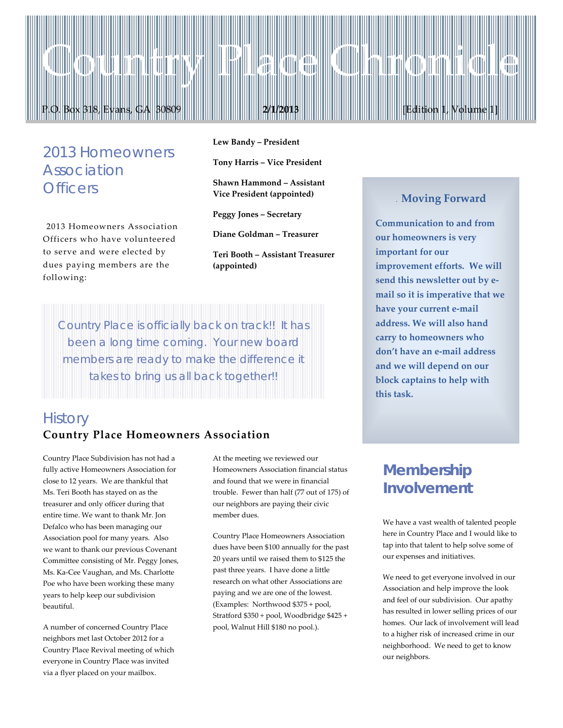# *2013 Homeowners Association Officers*

2013 Homeowners Association Officers who have volunteered to serve and were elected by dues paying members are the following:

**Lew Bandy – President**

**Tony Harris – Vice President**

P.O. Box 318, Evans, GA 30809 **2/1/2013** [Edition 1, Volume 1]

Country Place Chronicle

**Shawn Hammond – Assistant Vice President (appointed)**

**Peggy Jones – Secretary**

**Diane Goldman – Treasurer**

**Teri Booth – Assistant Treasurer (appointed)**

*Country Place is officially back on track!! It has been a long time coming. Your new board members are ready to make the difference it takes to bring us all back together!!*

### *History* **Country Place Homeowners Association**

Country Place Subdivision has not had a fully active Homeowners Association for close to 12 years. We are thankful that Ms. Teri Booth has stayed on as the treasurer and only officer during that entire time. We want to thank Mr. Jon Defalco who has been managing our Association pool for many years. Also we want to thank our previous Covenant Committee consisting of Mr. Peggy Jones, Ms. Ka-Cee Vaughan, and Ms. Charlotte Poe who have been working these many years to help keep our subdivision beautiful.

A number of concerned Country Place neighbors met last October 2012 for a Country Place Revival meeting of which everyone in Country Place was invited via a flyer placed on your mailbox.

At the meeting we reviewed our Homeowners Association financial status and found that we were in financial trouble. Fewer than half (77 out of 175) of our neighbors are paying their civic member dues.

Country Place Homeowners Association dues have been \$100 annually for the past 20 years until we raised them to \$125 the past three years. I have done a little research on what other Associations are paying and we are one of the lowest. (Examples: Northwood \$375 + pool, Stratford \$350 + pool, Woodbridge \$425 + pool, Walnut Hill \$180 no pool.).

#### . **Moving Forward**

**Communication to and from our homeowners is very important for our improvement efforts. We will send this newsletter out by email so it is imperative that we have your current e-mail address. We will also hand carry to homeowners who don't have an e-mail address and we will depend on our block captains to help with this task.**

# *Membership Involvement*

We have a vast wealth of talented people here in Country Place and I would like to tap into that talent to help solve some of our expenses and initiatives.

We need to get everyone involved in our Association and help improve the look and feel of our subdivision. Our apathy has resulted in lower selling prices of our homes. Our lack of involvement will lead to a higher risk of increased crime in our neighborhood. We need to get to know our neighbors.